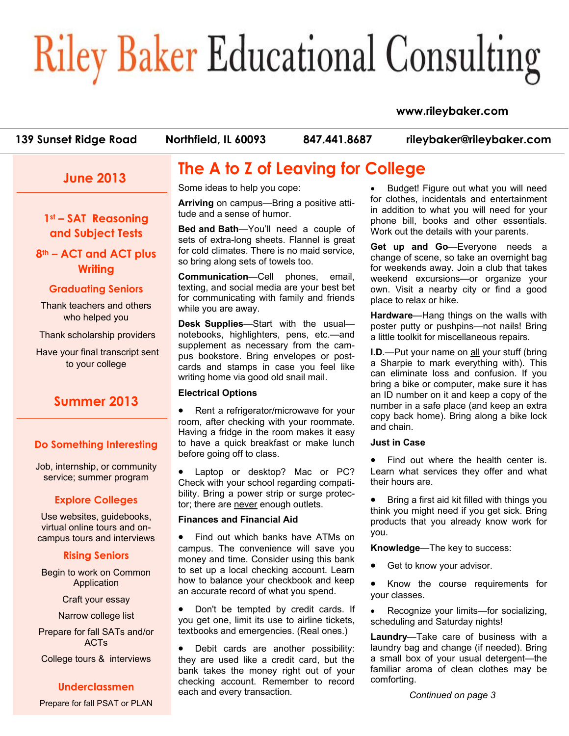# **Riley Baker Educational Consulting**

#### **www.rileybaker.com**

| 139 Sunset Ridge Road | Northfield, IL 60093 | 847.441.8687 | rileybaker@rileybaker.com |
|-----------------------|----------------------|--------------|---------------------------|
|                       |                      |              |                           |

## **June 2013**

**1st – SAT Reasoning and Subject Tests** 

**8th – ACT and ACT plus Writing**

#### **Graduating Seniors**

Thank teachers and others who helped you

Thank scholarship providers

 Have your final transcript sent to your college

## **Summer 2013**

#### **Do Something Interesting**

Job, internship, or community service; summer program

#### **Explore Colleges**

Use websites, guidebooks, virtual online tours and oncampus tours and interviews

#### **Rising Seniors**

Begin to work on Common **Application** 

Craft your essay

Narrow college list

Prepare for fall SATs and/or ACTs

College tours & interviews

#### **Underclassmen**

Prepare for fall PSAT or PLAN

# **The A to Z of Leaving for College**

Some ideas to help you cope:

**Arriving** on campus—Bring a positive attitude and a sense of humor.

**Bed and Bath**—You'll need a couple of sets of extra-long sheets. Flannel is great for cold climates. There is no maid service, so bring along sets of towels too.

**Communication**—Cell phones, email, texting, and social media are your best bet for communicating with family and friends while you are away.

**Desk Supplies**—Start with the usual notebooks, highlighters, pens, etc.—and supplement as necessary from the campus bookstore. Bring envelopes or postcards and stamps in case you feel like writing home via good old snail mail.

#### **Electrical Options**

• Rent a refrigerator/microwave for your room, after checking with your roommate. Having a fridge in the room makes it easy to have a quick breakfast or make lunch before going off to class.

• Laptop or desktop? Mac or PC? Check with your school regarding compatibility. Bring a power strip or surge protector; there are never enough outlets.

#### **Finances and Financial Aid**

Find out which banks have ATMs on campus. The convenience will save you money and time. Consider using this bank to set up a local checking account. Learn how to balance your checkbook and keep an accurate record of what you spend.

• Don't be tempted by credit cards. If you get one, limit its use to airline tickets, textbooks and emergencies. (Real ones.)

Debit cards are another possibility: they are used like a credit card, but the bank takes the money right out of your checking account. Remember to record each and every transaction.

• Budget! Figure out what you will need for clothes, incidentals and entertainment in addition to what you will need for your phone bill, books and other essentials. Work out the details with your parents.

**Get up and Go**—Everyone needs a change of scene, so take an overnight bag for weekends away. Join a club that takes weekend excursions—or organize your own. Visit a nearby city or find a good place to relax or hike.

**Hardware**—Hang things on the walls with poster putty or pushpins—not nails! Bring a little toolkit for miscellaneous repairs.

**I.D**.—Put your name on all your stuff (bring a Sharpie to mark everything with). This can eliminate loss and confusion. If you bring a bike or computer, make sure it has an ID number on it and keep a copy of the number in a safe place (and keep an extra copy back home). Bring along a bike lock and chain.

#### **Just in Case**

• Find out where the health center is. Learn what services they offer and what their hours are.

• Bring a first aid kit filled with things you think you might need if you get sick. Bring products that you already know work for you.

**Knowledge**—The key to success:

Get to know your advisor.

• Know the course requirements for your classes.

• Recognize your limits—for socializing, scheduling and Saturday nights!

**Laundry**—Take care of business with a laundry bag and change (if needed). Bring a small box of your usual detergent—the familiar aroma of clean clothes may be comforting.

*Continued on page 3*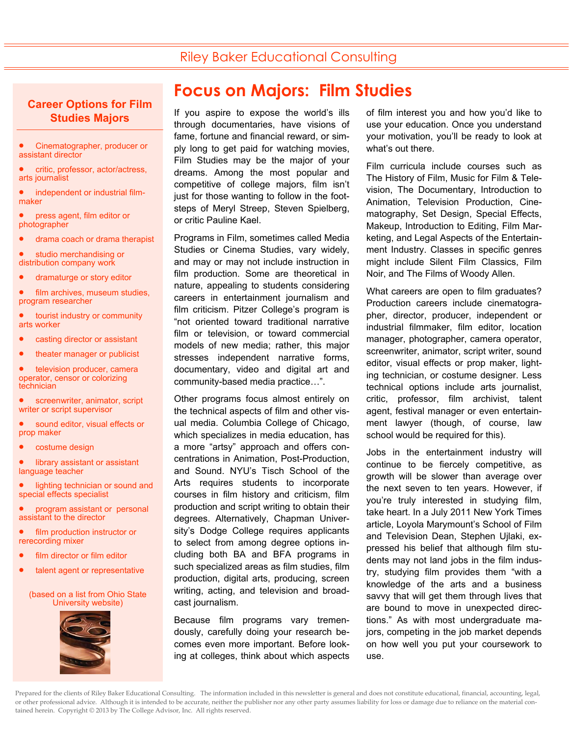## Riley Baker Educational Consulting

#### **Career Options for Film Studies Majors**

- Cinematographer, producer or assistant director
- critic, professor, actor/actress, arts journalist
- independent or industrial filmmaker
- press agent, film editor or photographer
- drama coach or drama therapist
- studio merchandising or distribution company work
- dramaturge or story editor
- film archives, museum studies, program researcher
- tourist industry or community arts worker
- casting director or assistant
- theater manager or publicist
- television producer, camera operator, censor or colorizing technician
- screenwriter, animator, script writer or script supervisor
- sound editor, visual effects or prop maker
- costume design
- library assistant or assistant language teacher
- lighting technician or sound and special effects specialist
- program assistant or personal assistant to the director
- film production instructor or rerecording mixer
- film director or film editor
- talent agent or representative

#### (based on a list from Ohio State University website)



## **Focus on Majors: Film Studies**

If you aspire to expose the world's ills through documentaries, have visions of fame, fortune and financial reward, or simply long to get paid for watching movies, Film Studies may be the major of your dreams. Among the most popular and competitive of college majors, film isn't just for those wanting to follow in the footsteps of Meryl Streep, Steven Spielberg, or critic Pauline Kael.

Programs in Film, sometimes called Media Studies or Cinema Studies, vary widely, and may or may not include instruction in film production. Some are theoretical in nature, appealing to students considering careers in entertainment journalism and film criticism. Pitzer College's program is "not oriented toward traditional narrative film or television, or toward commercial models of new media; rather, this major stresses independent narrative forms, documentary, video and digital art and community-based media practice…".

Other programs focus almost entirely on the technical aspects of film and other visual media. Columbia College of Chicago, which specializes in media education, has a more "artsy" approach and offers concentrations in Animation, Post-Production, and Sound. NYU's Tisch School of the Arts requires students to incorporate courses in film history and criticism, film production and script writing to obtain their degrees. Alternatively, Chapman University's Dodge College requires applicants to select from among degree options including both BA and BFA programs in such specialized areas as film studies, film production, digital arts, producing, screen writing, acting, and television and broadcast journalism.

Because film programs vary tremendously, carefully doing your research becomes even more important. Before looking at colleges, think about which aspects of film interest you and how you'd like to use your education. Once you understand your motivation, you'll be ready to look at what's out there.

Film curricula include courses such as The History of Film, Music for Film & Television, The Documentary, Introduction to Animation, Television Production, Cinematography, Set Design, Special Effects, Makeup, Introduction to Editing, Film Marketing, and Legal Aspects of the Entertainment Industry. Classes in specific genres might include Silent Film Classics, Film Noir, and The Films of Woody Allen.

What careers are open to film graduates? Production careers include cinematographer, director, producer, independent or industrial filmmaker, film editor, location manager, photographer, camera operator, screenwriter, animator, script writer, sound editor, visual effects or prop maker, lighting technician, or costume designer. Less technical options include arts journalist, critic, professor, film archivist, talent agent, festival manager or even entertainment lawyer (though, of course, law school would be required for this).

Jobs in the entertainment industry will continue to be fiercely competitive, as growth will be slower than average over the next seven to ten years. However, if you're truly interested in studying film, take heart. In a July 2011 New York Times article, Loyola Marymount's School of Film and Television Dean, Stephen Ujlaki, expressed his belief that although film students may not land jobs in the film industry, studying film provides them "with a knowledge of the arts and a business savvy that will get them through lives that are bound to move in unexpected directions." As with most undergraduate majors, competing in the job market depends on how well you put your coursework to use.

Prepared for the clients of Riley Baker Educational Consulting. The information included in this newsletter is general and does not constitute educational, financial, accounting, legal, or other professional advice. Although it is intended to be accurate, neither the publisher nor any other party assumes liability for loss or damage due to reliance on the material contained herein. Copyright © 2013 by The College Advisor, Inc. All rights reserved.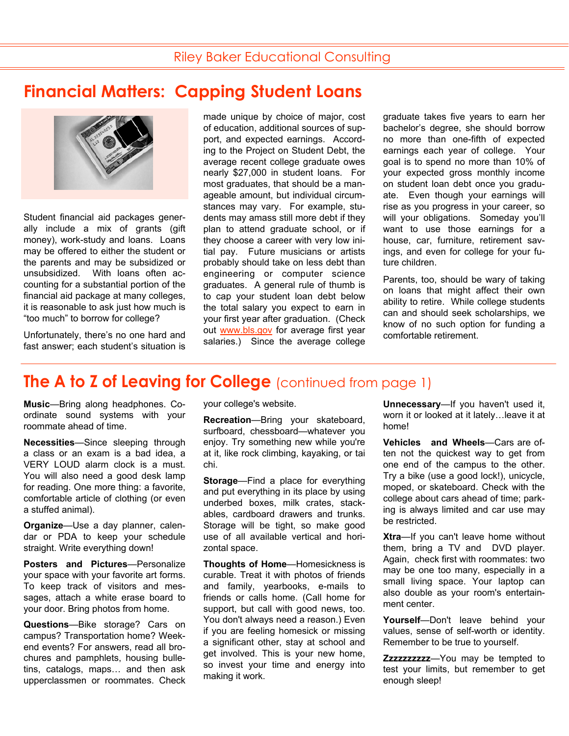# **Financial Matters: Capping Student Loans**



Student financial aid packages generally include a mix of grants (gift money), work-study and loans. Loans may be offered to either the student or the parents and may be subsidized or unsubsidized. With loans often accounting for a substantial portion of the financial aid package at many colleges, it is reasonable to ask just how much is "too much" to borrow for college?

Unfortunately, there's no one hard and fast answer; each student's situation is made unique by choice of major, cost of education, additional sources of support, and expected earnings. According to the Project on Student Debt, the average recent college graduate owes nearly \$27,000 in student loans. For most graduates, that should be a manageable amount, but individual circumstances may vary. For example, students may amass still more debt if they plan to attend graduate school, or if they choose a career with very low initial pay. Future musicians or artists probably should take on less debt than engineering or computer science graduates. A general rule of thumb is to cap your student loan debt below the total salary you expect to earn in your first year after graduation. (Check out www.bls.gov for average first year salaries.) Since the average college

graduate takes five years to earn her bachelor's degree, she should borrow no more than one-fifth of expected earnings each year of college. Your goal is to spend no more than 10% of your expected gross monthly income on student loan debt once you graduate. Even though your earnings will rise as you progress in your career, so will your obligations. Someday you'll want to use those earnings for a house, car, furniture, retirement savings, and even for college for your future children.

Parents, too, should be wary of taking on loans that might affect their own ability to retire. While college students can and should seek scholarships, we know of no such option for funding a comfortable retirement.

## **The A to Z of Leaving for College** (continued from page 1)

**Music**—Bring along headphones. Coordinate sound systems with your roommate ahead of time.

**Necessities**—Since sleeping through a class or an exam is a bad idea, a VERY LOUD alarm clock is a must. You will also need a good desk lamp for reading. One more thing: a favorite, comfortable article of clothing (or even a stuffed animal).

**Organize**—Use a day planner, calendar or PDA to keep your schedule straight. Write everything down!

**Posters and Pictures**—Personalize your space with your favorite art forms. To keep track of visitors and messages, attach a white erase board to your door. Bring photos from home.

**Questions**—Bike storage? Cars on campus? Transportation home? Weekend events? For answers, read all brochures and pamphlets, housing bulletins, catalogs, maps… and then ask upperclassmen or roommates. Check your college's website.

**Recreation**—Bring your skateboard, surfboard, chessboard—whatever you enjoy. Try something new while you're at it, like rock climbing, kayaking, or tai chi.

**Storage**—Find a place for everything and put everything in its place by using underbed boxes, milk crates, stackables, cardboard drawers and trunks. Storage will be tight, so make good use of all available vertical and horizontal space.

**Thoughts of Home**—Homesickness is curable. Treat it with photos of friends and family, yearbooks, e-mails to friends or calls home. (Call home for support, but call with good news, too. You don't always need a reason.) Even if you are feeling homesick or missing a significant other, stay at school and get involved. This is your new home, so invest your time and energy into making it work.

**Unnecessary**—If you haven't used it, worn it or looked at it lately…leave it at home!

**Vehicles and Wheels**—Cars are often not the quickest way to get from one end of the campus to the other. Try a bike (use a good lock!), unicycle, moped, or skateboard. Check with the college about cars ahead of time; parking is always limited and car use may be restricted.

**Xtra**—If you can't leave home without them, bring a TV and DVD player. Again, check first with roommates: two may be one too many, especially in a small living space. Your laptop can also double as your room's entertainment center.

**Yourself**—Don't leave behind your values, sense of self-worth or identity. Remember to be true to yourself.

**Zzzzzzzzzz**—You may be tempted to test your limits, but remember to get enough sleep!